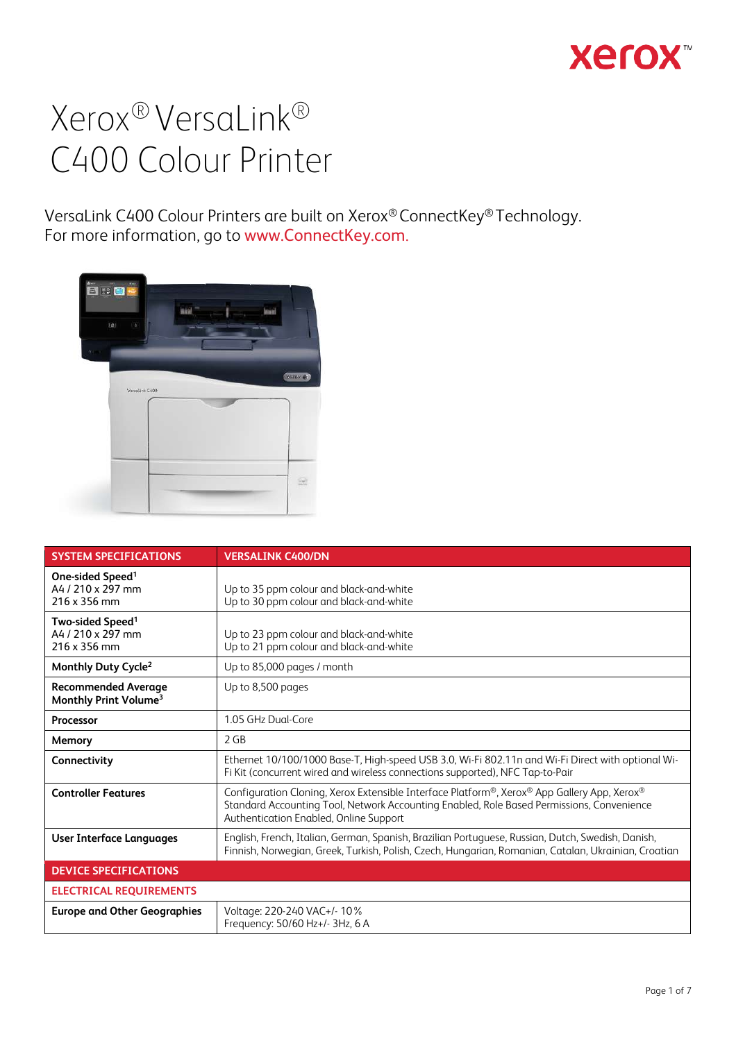## **Xerox**

# Xerox® VersaLink® C400 Colour Printer

VersaLink C400 Colour Printers are built on Xerox® ConnectKey® Technology. For more information, go to www.ConnectKey.com.



| <b>SYSTEM SPECIFICATIONS</b>                                      | <b>VERSALINK C400/DN</b>                                                                                                                                                                                                           |  |
|-------------------------------------------------------------------|------------------------------------------------------------------------------------------------------------------------------------------------------------------------------------------------------------------------------------|--|
| One-sided Speed <sup>1</sup><br>A4 / 210 x 297 mm<br>216 x 356 mm | Up to 35 ppm colour and black-and-white<br>Up to 30 ppm colour and black-and-white                                                                                                                                                 |  |
| Two-sided Speed <sup>1</sup><br>A4 / 210 x 297 mm<br>216 x 356 mm | Up to 23 ppm colour and black-and-white<br>Up to 21 ppm colour and black-and-white                                                                                                                                                 |  |
| Monthly Duty Cycle <sup>2</sup>                                   | Up to 85,000 pages / month                                                                                                                                                                                                         |  |
| <b>Recommended Average</b><br>Monthly Print Volume <sup>3</sup>   | Up to 8,500 pages                                                                                                                                                                                                                  |  |
| Processor                                                         | 1.05 GHz Dual-Core                                                                                                                                                                                                                 |  |
| Memory                                                            | 2 GB                                                                                                                                                                                                                               |  |
| Connectivity                                                      | Ethernet 10/100/1000 Base-T, High-speed USB 3.0, Wi-Fi 802.11n and Wi-Fi Direct with optional Wi-<br>Fi Kit (concurrent wired and wireless connections supported), NFC Tap-to-Pair                                                 |  |
| <b>Controller Features</b>                                        | Configuration Cloning, Xerox Extensible Interface Platform®, Xerox® App Gallery App, Xerox®<br>Standard Accounting Tool, Network Accounting Enabled, Role Based Permissions, Convenience<br>Authentication Enabled, Online Support |  |
| <b>User Interface Languages</b>                                   | English, French, Italian, German, Spanish, Brazilian Portuguese, Russian, Dutch, Swedish, Danish,<br>Finnish, Norwegian, Greek, Turkish, Polish, Czech, Hungarian, Romanian, Catalan, Ukrainian, Croatian                          |  |
| <b>DEVICE SPECIFICATIONS</b>                                      |                                                                                                                                                                                                                                    |  |
| <b>ELECTRICAL REQUIREMENTS</b>                                    |                                                                                                                                                                                                                                    |  |
| <b>Europe and Other Geographies</b>                               | Voltage: 220-240 VAC+/- 10%<br>Frequency: 50/60 Hz+/- 3Hz, 6 A                                                                                                                                                                     |  |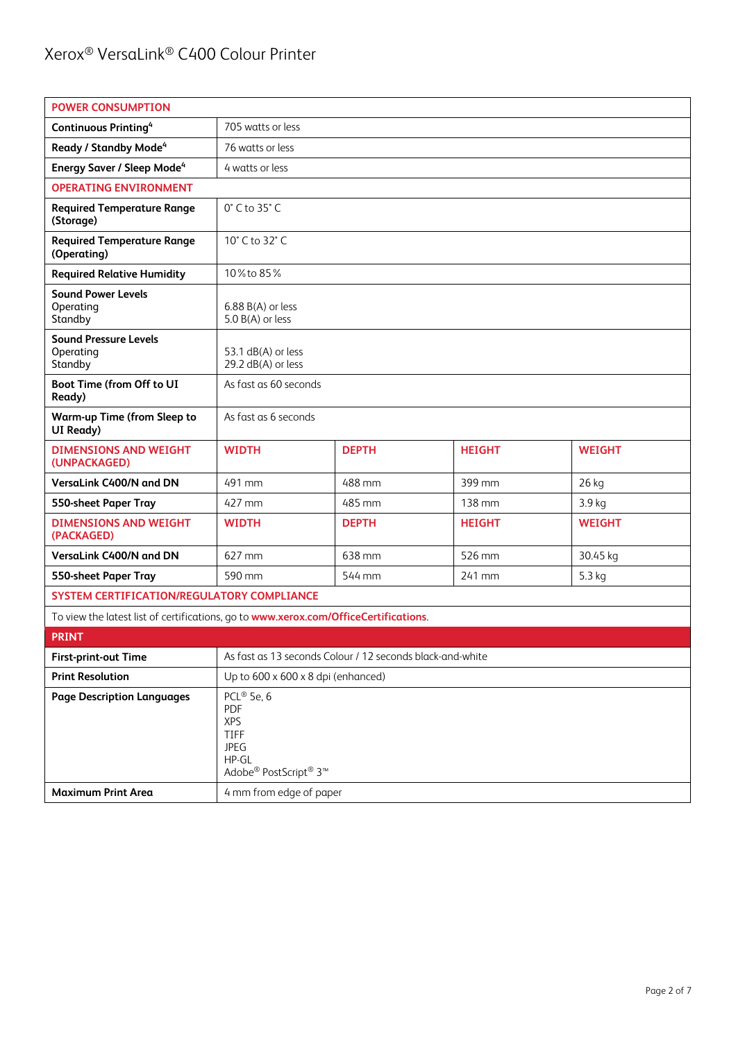| <b>POWER CONSUMPTION</b>                                                             |                                                                                            |                                                           |               |               |
|--------------------------------------------------------------------------------------|--------------------------------------------------------------------------------------------|-----------------------------------------------------------|---------------|---------------|
| <b>Continuous Printing4</b>                                                          | 705 watts or less                                                                          |                                                           |               |               |
| Ready / Standby Mode <sup>4</sup>                                                    | 76 watts or less                                                                           |                                                           |               |               |
| <b>Energy Saver / Sleep Mode</b> <sup>4</sup>                                        | 4 watts or less                                                                            |                                                           |               |               |
| <b>OPERATING ENVIRONMENT</b>                                                         |                                                                                            |                                                           |               |               |
| <b>Required Temperature Range</b><br>(Storage)                                       | $0^\circ$ C to 35 $^\circ$ C                                                               |                                                           |               |               |
| <b>Required Temperature Range</b><br>(Operating)                                     | 10° C to 32° C                                                                             |                                                           |               |               |
| <b>Required Relative Humidity</b>                                                    | 10% to 85%                                                                                 |                                                           |               |               |
| <b>Sound Power Levels</b><br>Operating<br>Standby                                    | $6.88 B(A)$ or less<br>5.0 B(A) or less                                                    |                                                           |               |               |
| <b>Sound Pressure Levels</b><br>Operating<br>Standby                                 | 53.1 dB(A) or less<br>29.2 dB(A) or less                                                   |                                                           |               |               |
| Boot Time (from Off to UI<br>Ready)                                                  | As fast as 60 seconds                                                                      |                                                           |               |               |
| <b>Warm-up Time (from Sleep to</b><br>UI Ready)                                      | As fast as 6 seconds                                                                       |                                                           |               |               |
| <b>DIMENSIONS AND WEIGHT</b><br>(UNPACKAGED)                                         | <b>WIDTH</b>                                                                               | <b>DEPTH</b>                                              | <b>HEIGHT</b> | <b>WEIGHT</b> |
| VersaLink C400/N and DN                                                              | 491 mm                                                                                     | 488 mm                                                    | 399 mm        | 26 kg         |
| 550-sheet Paper Tray                                                                 | 427 mm                                                                                     | 485 mm                                                    | 138 mm        | 3.9 kg        |
| <b>DIMENSIONS AND WEIGHT</b><br>(PACKAGED)                                           | <b>WIDTH</b>                                                                               | <b>DEPTH</b>                                              | <b>HEIGHT</b> | <b>WEIGHT</b> |
| VersaLink C400/N and DN                                                              | 627 mm                                                                                     | 638 mm                                                    | 526 mm        | 30.45 kg      |
| 550-sheet Paper Tray                                                                 | 590 mm                                                                                     | 544 mm                                                    | 241 mm        | 5.3 kg        |
| SYSTEM CERTIFICATION/REGULATORY COMPLIANCE                                           |                                                                                            |                                                           |               |               |
| To view the latest list of certifications, go to www.xerox.com/OfficeCertifications. |                                                                                            |                                                           |               |               |
| <b>PRINT</b>                                                                         |                                                                                            |                                                           |               |               |
| <b>First-print-out Time</b>                                                          |                                                                                            | As fast as 13 seconds Colour / 12 seconds black-and-white |               |               |
| <b>Print Resolution</b>                                                              | Up to 600 x 600 x 8 dpi (enhanced)                                                         |                                                           |               |               |
| <b>Page Description Languages</b>                                                    | PCL® 5e, 6<br>PDF<br><b>XPS</b><br>TIFF<br><b>JPEG</b><br>$HP-GL$<br>Adobe® PostScript® 3™ |                                                           |               |               |
| <b>Maximum Print Area</b>                                                            | 4 mm from edge of paper                                                                    |                                                           |               |               |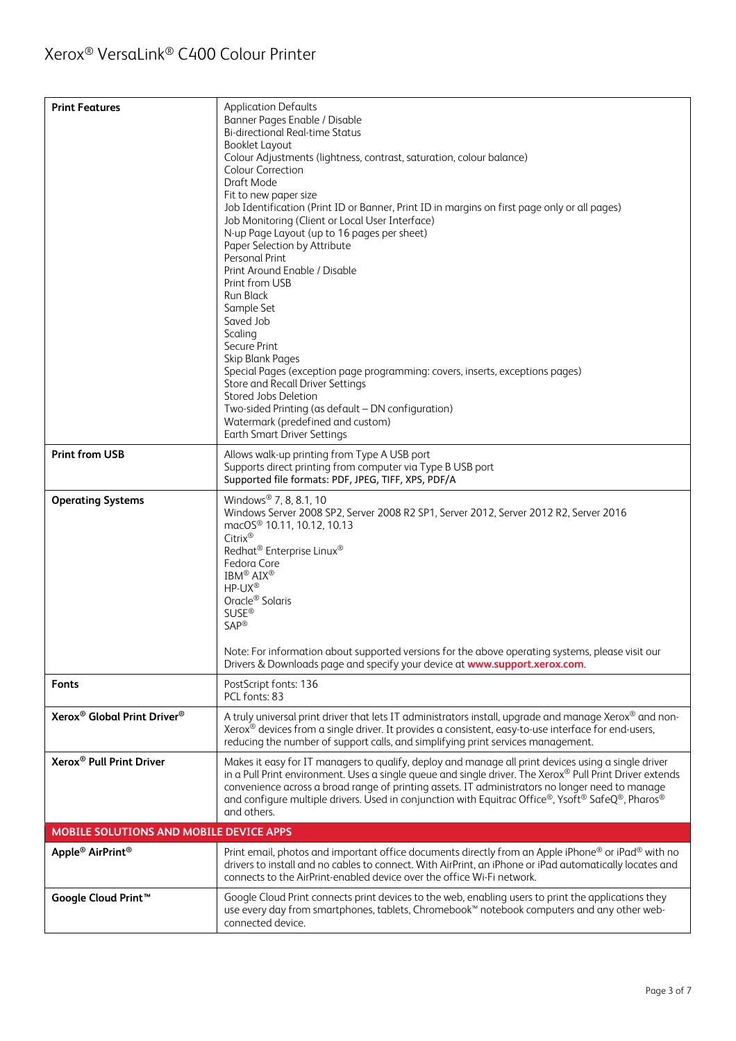| <b>Print Features</b>                               | <b>Application Defaults</b><br>Banner Pages Enable / Disable<br><b>Bi-directional Real-time Status</b><br><b>Booklet Layout</b><br>Colour Adjustments (lightness, contrast, saturation, colour balance)<br><b>Colour Correction</b><br>Draft Mode<br>Fit to new paper size<br>Job Identification (Print ID or Banner, Print ID in margins on first page only or all pages)<br>Job Monitoring (Client or Local User Interface)<br>N-up Page Layout (up to 16 pages per sheet)<br>Paper Selection by Attribute<br><b>Personal Print</b><br>Print Around Enable / Disable<br>Print from USB<br>Run Black<br>Sample Set<br>Saved Job<br>Scaling<br>Secure Print<br>Skip Blank Pages<br>Special Pages (exception page programming: covers, inserts, exceptions pages)<br>Store and Recall Driver Settings<br>Stored Jobs Deletion<br>Two-sided Printing (as default - DN configuration)<br>Watermark (predefined and custom)<br><b>Earth Smart Driver Settings</b> |
|-----------------------------------------------------|---------------------------------------------------------------------------------------------------------------------------------------------------------------------------------------------------------------------------------------------------------------------------------------------------------------------------------------------------------------------------------------------------------------------------------------------------------------------------------------------------------------------------------------------------------------------------------------------------------------------------------------------------------------------------------------------------------------------------------------------------------------------------------------------------------------------------------------------------------------------------------------------------------------------------------------------------------------|
| <b>Print from USB</b>                               | Allows walk-up printing from Type A USB port<br>Supports direct printing from computer via Type B USB port<br>Supported file formats: PDF, JPEG, TIFF, XPS, PDF/A                                                                                                                                                                                                                                                                                                                                                                                                                                                                                                                                                                                                                                                                                                                                                                                             |
| <b>Operating Systems</b>                            | Windows <sup>®</sup> 7, 8, 8.1, 10<br>Windows Server 2008 SP2, Server 2008 R2 SP1, Server 2012, Server 2012 R2, Server 2016<br>macOS <sup>®</sup> 10.11, 10.12, 10.13<br>Citrix®<br>Redhat <sup>®</sup> Enterprise Linux <sup>®</sup><br>Fedora Core<br>IBM <sup>®</sup> AIX <sup>®</sup><br>$HP-UX^{\circledR}$<br>Oracle <sup>®</sup> Solaris<br><b>SUSE®</b><br>SAP <sup>®</sup><br>Note: For information about supported versions for the above operating systems, please visit our<br>Drivers & Downloads page and specify your device at www.support.xerox.com.                                                                                                                                                                                                                                                                                                                                                                                         |
| <b>Fonts</b>                                        | PostScript fonts: 136<br>PCL fonts: 83                                                                                                                                                                                                                                                                                                                                                                                                                                                                                                                                                                                                                                                                                                                                                                                                                                                                                                                        |
| Xerox <sup>®</sup> Global Print Driver <sup>®</sup> | A truly universal print driver that lets IT administrators install, upgrade and manage Xerox® and non-<br>Xerox® devices from a single driver. It provides a consistent, easy-to-use interface for end-users,<br>reducing the number of support calls, and simplifying print services management.                                                                                                                                                                                                                                                                                                                                                                                                                                                                                                                                                                                                                                                             |
| Xerox <sup>®</sup> Pull Print Driver                | Makes it easy for IT managers to qualify, deploy and manage all print devices using a single driver<br>in a Pull Print environment. Uses a single queue and single driver. The Xerox® Pull Print Driver extends<br>convenience across a broad range of printing assets. IT administrators no longer need to manage<br>and configure multiple drivers. Used in conjunction with Equitrac Office®, Ysoft® SafeQ®, Pharos®<br>and others.                                                                                                                                                                                                                                                                                                                                                                                                                                                                                                                        |
| MOBILE SOLUTIONS AND MOBILE DEVICE APPS             |                                                                                                                                                                                                                                                                                                                                                                                                                                                                                                                                                                                                                                                                                                                                                                                                                                                                                                                                                               |
| Apple <sup>®</sup> AirPrint <sup>®</sup>            | Print email, photos and important office documents directly from an Apple iPhone® or iPad® with no<br>drivers to install and no cables to connect. With AirPrint, an iPhone or iPad automatically locates and<br>connects to the AirPrint-enabled device over the office Wi-Fi network.                                                                                                                                                                                                                                                                                                                                                                                                                                                                                                                                                                                                                                                                       |
| Google Cloud Print <sup>™</sup>                     | Google Cloud Print connects print devices to the web, enabling users to print the applications they<br>use every day from smartphones, tablets, Chromebook™ notebook computers and any other web-<br>connected device.                                                                                                                                                                                                                                                                                                                                                                                                                                                                                                                                                                                                                                                                                                                                        |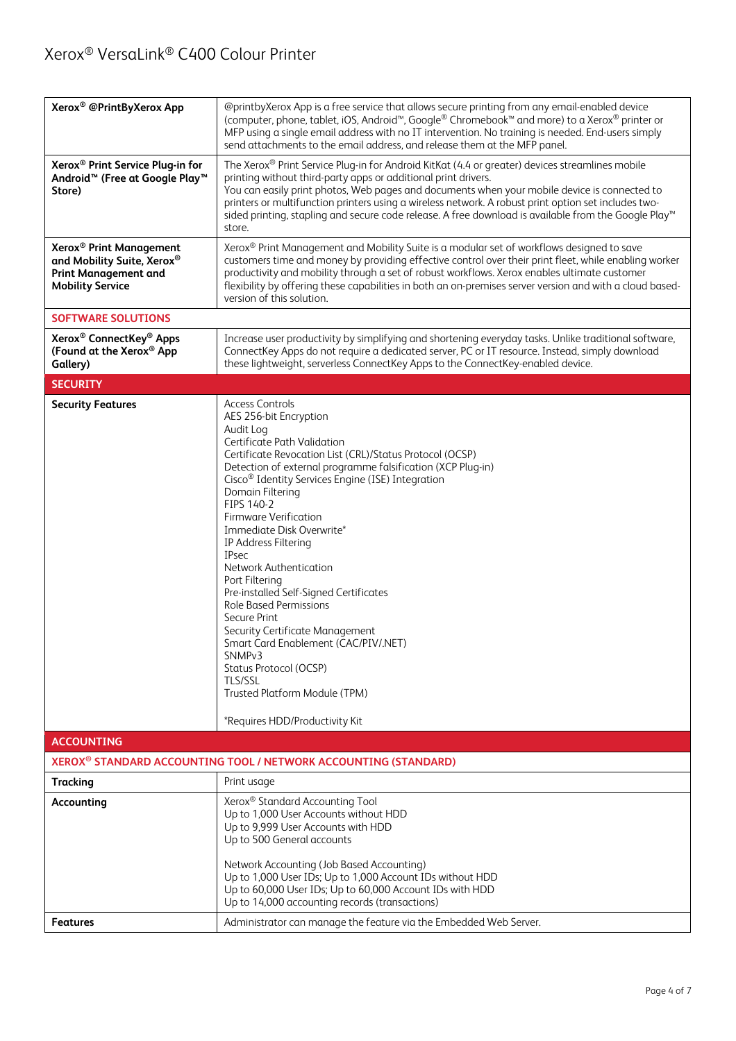| Xerox <sup>®</sup> @PrintByXerox App                                                                                        | @printbyXerox App is a free service that allows secure printing from any email-enabled device<br>(computer, phone, tablet, iOS, Android <sup>™</sup> , Google® Chromebook™ and more) to a Xerox® printer or<br>MFP using a single email address with no IT intervention. No training is needed. End-users simply<br>send attachments to the email address, and release them at the MFP panel.                                                                                                                                                                                                                                                                                                                                                                            |  |  |
|-----------------------------------------------------------------------------------------------------------------------------|--------------------------------------------------------------------------------------------------------------------------------------------------------------------------------------------------------------------------------------------------------------------------------------------------------------------------------------------------------------------------------------------------------------------------------------------------------------------------------------------------------------------------------------------------------------------------------------------------------------------------------------------------------------------------------------------------------------------------------------------------------------------------|--|--|
| Xerox <sup>®</sup> Print Service Plug-in for<br>Android <sup>™</sup> (Free at Google Play <sup>™</sup><br>Store)            | The Xerox® Print Service Plug-in for Android KitKat (4.4 or greater) devices streamlines mobile<br>printing without third-party apps or additional print drivers.<br>You can easily print photos, Web pages and documents when your mobile device is connected to<br>printers or multifunction printers using a wireless network. A robust print option set includes two-<br>sided printing, stapling and secure code release. A free download is available from the Google Play™<br>store.                                                                                                                                                                                                                                                                              |  |  |
| Xerox <sup>®</sup> Print Management<br>and Mobility Suite, Xerox®<br><b>Print Management and</b><br><b>Mobility Service</b> | Xerox® Print Management and Mobility Suite is a modular set of workflows designed to save<br>customers time and money by providing effective control over their print fleet, while enabling worker<br>productivity and mobility through a set of robust workflows. Xerox enables ultimate customer<br>flexibility by offering these capabilities in both an on-premises server version and with a cloud based-<br>version of this solution.                                                                                                                                                                                                                                                                                                                              |  |  |
| <b>SOFTWARE SOLUTIONS</b>                                                                                                   |                                                                                                                                                                                                                                                                                                                                                                                                                                                                                                                                                                                                                                                                                                                                                                          |  |  |
| Xerox <sup>®</sup> ConnectKey <sup>®</sup> Apps<br>(Found at the Xerox® App<br>Gallery)                                     | Increase user productivity by simplifying and shortening everyday tasks. Unlike traditional software,<br>ConnectKey Apps do not require a dedicated server, PC or IT resource. Instead, simply download<br>these lightweight, serverless ConnectKey Apps to the ConnectKey-enabled device.                                                                                                                                                                                                                                                                                                                                                                                                                                                                               |  |  |
| <b>SECURITY</b>                                                                                                             |                                                                                                                                                                                                                                                                                                                                                                                                                                                                                                                                                                                                                                                                                                                                                                          |  |  |
| <b>Security Features</b>                                                                                                    | <b>Access Controls</b><br>AES 256-bit Encryption<br>Audit Log<br>Certificate Path Validation<br>Certificate Revocation List (CRL)/Status Protocol (OCSP)<br>Detection of external programme falsification (XCP Plug-in)<br>Cisco <sup>®</sup> Identity Services Engine (ISE) Integration<br>Domain Filtering<br>FIPS 140-2<br>Firmware Verification<br>Immediate Disk Overwrite*<br>IP Address Filtering<br><b>IPsec</b><br>Network Authentication<br>Port Filtering<br>Pre-installed Self-Signed Certificates<br><b>Role Based Permissions</b><br>Secure Print<br>Security Certificate Management<br>Smart Card Enablement (CAC/PIV/.NET)<br>SNMP <sub>v3</sub><br>Status Protocol (OCSP)<br>TLS/SSL<br>Trusted Platform Module (TPM)<br>*Requires HDD/Productivity Kit |  |  |
| <b>ACCOUNTING</b>                                                                                                           |                                                                                                                                                                                                                                                                                                                                                                                                                                                                                                                                                                                                                                                                                                                                                                          |  |  |
|                                                                                                                             | XEROX <sup>®</sup> STANDARD ACCOUNTING TOOL / NETWORK ACCOUNTING (STANDARD)                                                                                                                                                                                                                                                                                                                                                                                                                                                                                                                                                                                                                                                                                              |  |  |
| Tracking                                                                                                                    | Print usage                                                                                                                                                                                                                                                                                                                                                                                                                                                                                                                                                                                                                                                                                                                                                              |  |  |
| Accounting                                                                                                                  | Xerox <sup>®</sup> Standard Accounting Tool<br>Up to 1,000 User Accounts without HDD<br>Up to 9,999 User Accounts with HDD<br>Up to 500 General accounts                                                                                                                                                                                                                                                                                                                                                                                                                                                                                                                                                                                                                 |  |  |
|                                                                                                                             | Network Accounting (Job Based Accounting)<br>Up to 1,000 User IDs; Up to 1,000 Account IDs without HDD<br>Up to 60,000 User IDs; Up to 60,000 Account IDs with HDD<br>Up to 14,000 accounting records (transactions)                                                                                                                                                                                                                                                                                                                                                                                                                                                                                                                                                     |  |  |
| Features                                                                                                                    | Administrator can manage the feature via the Embedded Web Server.                                                                                                                                                                                                                                                                                                                                                                                                                                                                                                                                                                                                                                                                                                        |  |  |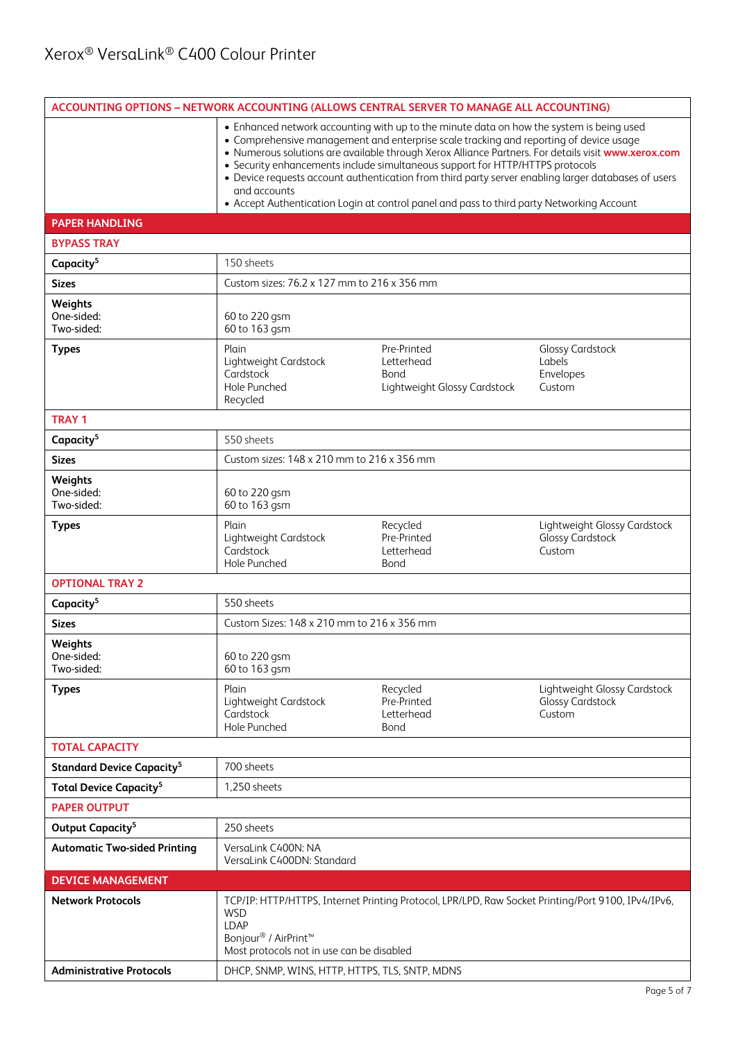| ACCOUNTING OPTIONS - NETWORK ACCOUNTING (ALLOWS CENTRAL SERVER TO MANAGE ALL ACCOUNTING) |                                                                                                                                                                                                                                                                                                                                                                                                                                                                                                                                                                                                |                                                                   |                                                                   |  |
|------------------------------------------------------------------------------------------|------------------------------------------------------------------------------------------------------------------------------------------------------------------------------------------------------------------------------------------------------------------------------------------------------------------------------------------------------------------------------------------------------------------------------------------------------------------------------------------------------------------------------------------------------------------------------------------------|-------------------------------------------------------------------|-------------------------------------------------------------------|--|
|                                                                                          | • Enhanced network accounting with up to the minute data on how the system is being used<br>• Comprehensive management and enterprise scale tracking and reporting of device usage<br>. Numerous solutions are available through Xerox Alliance Partners. For details visit www.xerox.com<br>• Security enhancements include simultaneous support for HTTP/HTTPS protocols<br>• Device requests account authentication from third party server enabling larger databases of users<br>and accounts<br>• Accept Authentication Login at control panel and pass to third party Networking Account |                                                                   |                                                                   |  |
| <b>PAPER HANDLING</b>                                                                    |                                                                                                                                                                                                                                                                                                                                                                                                                                                                                                                                                                                                |                                                                   |                                                                   |  |
| <b>BYPASS TRAY</b>                                                                       |                                                                                                                                                                                                                                                                                                                                                                                                                                                                                                                                                                                                |                                                                   |                                                                   |  |
| Capacity <sup>5</sup>                                                                    | 150 sheets                                                                                                                                                                                                                                                                                                                                                                                                                                                                                                                                                                                     |                                                                   |                                                                   |  |
| <b>Sizes</b>                                                                             |                                                                                                                                                                                                                                                                                                                                                                                                                                                                                                                                                                                                | Custom sizes: 76.2 x 127 mm to 216 x 356 mm                       |                                                                   |  |
| Weights<br>One-sided:<br>Two-sided:                                                      | 60 to 220 gsm<br>60 to 163 gsm                                                                                                                                                                                                                                                                                                                                                                                                                                                                                                                                                                 |                                                                   |                                                                   |  |
| <b>Types</b>                                                                             | Plain<br>Lightweight Cardstock<br>Cardstock<br>Hole Punched<br>Recycled                                                                                                                                                                                                                                                                                                                                                                                                                                                                                                                        | Pre-Printed<br>Letterhead<br>Bond<br>Lightweight Glossy Cardstock | <b>Glossy Cardstock</b><br>Labels<br>Envelopes<br>Custom          |  |
| <b>TRAY 1</b>                                                                            |                                                                                                                                                                                                                                                                                                                                                                                                                                                                                                                                                                                                |                                                                   |                                                                   |  |
| Capacity <sup>5</sup>                                                                    | 550 sheets                                                                                                                                                                                                                                                                                                                                                                                                                                                                                                                                                                                     |                                                                   |                                                                   |  |
| <b>Sizes</b>                                                                             | Custom sizes: 148 x 210 mm to 216 x 356 mm                                                                                                                                                                                                                                                                                                                                                                                                                                                                                                                                                     |                                                                   |                                                                   |  |
| Weights<br>One-sided:<br>Two-sided:                                                      | 60 to 220 gsm<br>60 to 163 gsm                                                                                                                                                                                                                                                                                                                                                                                                                                                                                                                                                                 |                                                                   |                                                                   |  |
| <b>Types</b>                                                                             | Plain<br>Lightweight Cardstock<br>Cardstock<br>Hole Punched                                                                                                                                                                                                                                                                                                                                                                                                                                                                                                                                    | Recycled<br>Pre-Printed<br>Letterhead<br>Bond                     | Lightweight Glossy Cardstock<br><b>Glossy Cardstock</b><br>Custom |  |
| <b>OPTIONAL TRAY 2</b>                                                                   |                                                                                                                                                                                                                                                                                                                                                                                                                                                                                                                                                                                                |                                                                   |                                                                   |  |
| Capacity <sup>5</sup>                                                                    | 550 sheets                                                                                                                                                                                                                                                                                                                                                                                                                                                                                                                                                                                     |                                                                   |                                                                   |  |
| <b>Sizes</b>                                                                             | Custom Sizes: 148 x 210 mm to 216 x 356 mm                                                                                                                                                                                                                                                                                                                                                                                                                                                                                                                                                     |                                                                   |                                                                   |  |
| Weights<br>One-sided:<br>Two-sided:                                                      | 60 to 220 gsm<br>60 to 163 gsm                                                                                                                                                                                                                                                                                                                                                                                                                                                                                                                                                                 |                                                                   |                                                                   |  |
| <b>Types</b>                                                                             | Plain<br>Lightweight Cardstock<br>Cardstock<br>Hole Punched                                                                                                                                                                                                                                                                                                                                                                                                                                                                                                                                    | Recycled<br>Pre-Printed<br>Letterhead<br>Bond                     | Lightweight Glossy Cardstock<br><b>Glossy Cardstock</b><br>Custom |  |
| <b>TOTAL CAPACITY</b>                                                                    |                                                                                                                                                                                                                                                                                                                                                                                                                                                                                                                                                                                                |                                                                   |                                                                   |  |
| <b>Standard Device Capacity<sup>5</sup></b>                                              | 700 sheets                                                                                                                                                                                                                                                                                                                                                                                                                                                                                                                                                                                     |                                                                   |                                                                   |  |
| <b>Total Device Capacity<sup>5</sup></b>                                                 | 1.250 sheets                                                                                                                                                                                                                                                                                                                                                                                                                                                                                                                                                                                   |                                                                   |                                                                   |  |
| <b>PAPER OUTPUT</b>                                                                      |                                                                                                                                                                                                                                                                                                                                                                                                                                                                                                                                                                                                |                                                                   |                                                                   |  |
| Output Capacity <sup>5</sup>                                                             | 250 sheets                                                                                                                                                                                                                                                                                                                                                                                                                                                                                                                                                                                     |                                                                   |                                                                   |  |
| <b>Automatic Two-sided Printing</b>                                                      | VersaLink C400N: NA<br>VersaLink C400DN: Standard                                                                                                                                                                                                                                                                                                                                                                                                                                                                                                                                              |                                                                   |                                                                   |  |
| <b>DEVICE MANAGEMENT</b>                                                                 |                                                                                                                                                                                                                                                                                                                                                                                                                                                                                                                                                                                                |                                                                   |                                                                   |  |
| <b>Network Protocols</b>                                                                 | TCP/IP: HTTP/HTTPS, Internet Printing Protocol, LPR/LPD, Raw Socket Printing/Port 9100, IPv4/IPv6,<br><b>WSD</b><br>LDAP<br>Bonjour <sup>®</sup> / AirPrint <sup>™</sup><br>Most protocols not in use can be disabled                                                                                                                                                                                                                                                                                                                                                                          |                                                                   |                                                                   |  |
| <b>Administrative Protocols</b>                                                          | DHCP, SNMP, WINS, HTTP, HTTPS, TLS, SNTP, MDNS                                                                                                                                                                                                                                                                                                                                                                                                                                                                                                                                                 |                                                                   |                                                                   |  |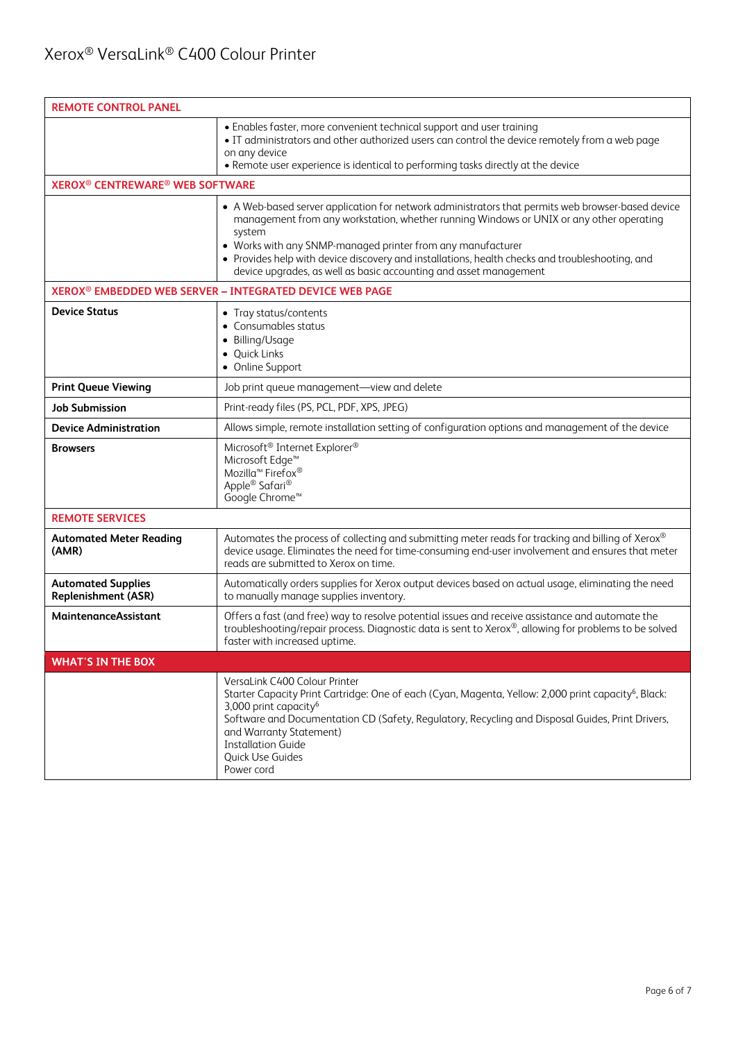| <b>REMOTE CONTROL PANEL</b>                                  |                                                                                                                                                                                                                                                                                                                                                                                                                                               |  |  |
|--------------------------------------------------------------|-----------------------------------------------------------------------------------------------------------------------------------------------------------------------------------------------------------------------------------------------------------------------------------------------------------------------------------------------------------------------------------------------------------------------------------------------|--|--|
|                                                              | • Enables faster, more convenient technical support and user training<br>. IT administrators and other authorized users can control the device remotely from a web page<br>on any device<br>• Remote user experience is identical to performing tasks directly at the device                                                                                                                                                                  |  |  |
| <b>XEROX<sup>®</sup> CENTREWARE<sup>®</sup> WEB SOFTWARE</b> |                                                                                                                                                                                                                                                                                                                                                                                                                                               |  |  |
|                                                              | • A Web-based server application for network administrators that permits web browser-based device<br>management from any workstation, whether running Windows or UNIX or any other operating<br>system<br>• Works with any SNMP-managed printer from any manufacturer<br>• Provides help with device discovery and installations, health checks and troubleshooting, and<br>device upgrades, as well as basic accounting and asset management |  |  |
|                                                              | XEROX <sup>®</sup> EMBEDDED WEB SERVER - INTEGRATED DEVICE WEB PAGE                                                                                                                                                                                                                                                                                                                                                                           |  |  |
| <b>Device Status</b>                                         | • Tray status/contents<br>• Consumables status<br>• Billing/Usage<br>• Quick Links<br>• Online Support                                                                                                                                                                                                                                                                                                                                        |  |  |
| <b>Print Queue Viewing</b>                                   | Job print queue management-view and delete                                                                                                                                                                                                                                                                                                                                                                                                    |  |  |
| <b>Job Submission</b>                                        | Print-ready files (PS, PCL, PDF, XPS, JPEG)                                                                                                                                                                                                                                                                                                                                                                                                   |  |  |
| <b>Device Administration</b>                                 | Allows simple, remote installation setting of configuration options and management of the device                                                                                                                                                                                                                                                                                                                                              |  |  |
| <b>Browsers</b>                                              | Microsoft <sup>®</sup> Internet Explorer <sup>®</sup><br>Microsoft Edge <sup>™</sup><br>Mozilla <sup>™</sup> Firefox <sup>®</sup><br>Apple® Safari®<br>Google Chrome <sup>™</sup>                                                                                                                                                                                                                                                             |  |  |
| <b>REMOTE SERVICES</b>                                       |                                                                                                                                                                                                                                                                                                                                                                                                                                               |  |  |
| <b>Automated Meter Reading</b><br>(AMR)                      | Automates the process of collecting and submitting meter reads for tracking and billing of Xerox®<br>device usage. Eliminates the need for time-consuming end-user involvement and ensures that meter<br>reads are submitted to Xerox on time.                                                                                                                                                                                                |  |  |
| <b>Automated Supplies</b><br>Replenishment (ASR)             | Automatically orders supplies for Xerox output devices based on actual usage, eliminating the need<br>to manually manage supplies inventory.                                                                                                                                                                                                                                                                                                  |  |  |
| MaintenanceAssistant                                         | Offers a fast (and free) way to resolve potential issues and receive assistance and automate the<br>troubleshooting/repair process. Diagnostic data is sent to Xerox®, allowing for problems to be solved<br>faster with increased uptime.                                                                                                                                                                                                    |  |  |
| <b>WHAT'S IN THE BOX</b>                                     |                                                                                                                                                                                                                                                                                                                                                                                                                                               |  |  |
|                                                              | VersaLink C400 Colour Printer<br>Starter Capacity Print Cartridge: One of each (Cyan, Magenta, Yellow: 2,000 print capacity <sup>6</sup> , Black:<br>3,000 print capacity <sup>6</sup><br>Software and Documentation CD (Safety, Regulatory, Recycling and Disposal Guides, Print Drivers,<br>and Warranty Statement)<br><b>Installation Guide</b><br>Quick Use Guides<br>Power cord                                                          |  |  |